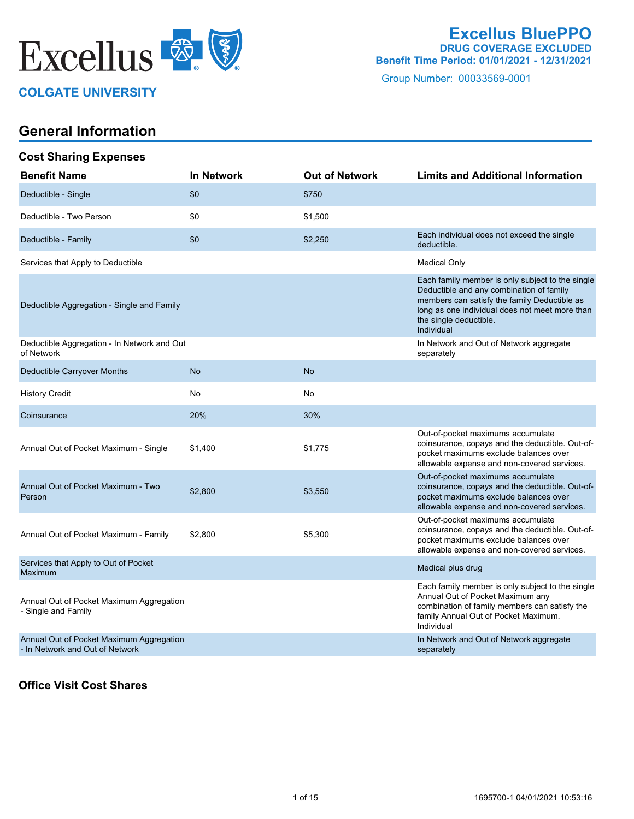

### **COLGATE UNIVERSITY**

### **Excellus BluePPO DRUG COVERAGE EXCLUDED Benefit Time Period: 01/01/2021 - 12/31/2021**

Group Number: 00033569-0001

## **General Information**

#### **Cost Sharing Expenses**

| <b>Benefit Name</b>                                                         | <b>In Network</b> | <b>Out of Network</b> | <b>Limits and Additional Information</b>                                                                                                                                                                                               |
|-----------------------------------------------------------------------------|-------------------|-----------------------|----------------------------------------------------------------------------------------------------------------------------------------------------------------------------------------------------------------------------------------|
| Deductible - Single                                                         | \$0               | \$750                 |                                                                                                                                                                                                                                        |
| Deductible - Two Person                                                     | \$0               | \$1,500               |                                                                                                                                                                                                                                        |
| Deductible - Family                                                         | \$0               | \$2,250               | Each individual does not exceed the single<br>deductible.                                                                                                                                                                              |
| Services that Apply to Deductible                                           |                   |                       | <b>Medical Only</b>                                                                                                                                                                                                                    |
| Deductible Aggregation - Single and Family                                  |                   |                       | Each family member is only subject to the single<br>Deductible and any combination of family<br>members can satisfy the family Deductible as<br>long as one individual does not meet more than<br>the single deductible.<br>Individual |
| Deductible Aggregation - In Network and Out<br>of Network                   |                   |                       | In Network and Out of Network aggregate<br>separately                                                                                                                                                                                  |
| Deductible Carryover Months                                                 | <b>No</b>         | <b>No</b>             |                                                                                                                                                                                                                                        |
| <b>History Credit</b>                                                       | No                | No                    |                                                                                                                                                                                                                                        |
| Coinsurance                                                                 | 20%               | 30%                   |                                                                                                                                                                                                                                        |
| Annual Out of Pocket Maximum - Single                                       | \$1,400           | \$1,775               | Out-of-pocket maximums accumulate<br>coinsurance, copays and the deductible. Out-of-<br>pocket maximums exclude balances over<br>allowable expense and non-covered services.                                                           |
| Annual Out of Pocket Maximum - Two<br>Person                                | \$2,800           | \$3,550               | Out-of-pocket maximums accumulate<br>coinsurance, copays and the deductible. Out-of-<br>pocket maximums exclude balances over<br>allowable expense and non-covered services.                                                           |
| Annual Out of Pocket Maximum - Family                                       | \$2,800           | \$5,300               | Out-of-pocket maximums accumulate<br>coinsurance, copays and the deductible. Out-of-<br>pocket maximums exclude balances over<br>allowable expense and non-covered services.                                                           |
| Services that Apply to Out of Pocket<br>Maximum                             |                   |                       | Medical plus drug                                                                                                                                                                                                                      |
| Annual Out of Pocket Maximum Aggregation<br>- Single and Family             |                   |                       | Each family member is only subject to the single<br>Annual Out of Pocket Maximum any<br>combination of family members can satisfy the<br>family Annual Out of Pocket Maximum.<br>Individual                                            |
| Annual Out of Pocket Maximum Aggregation<br>- In Network and Out of Network |                   |                       | In Network and Out of Network aggregate<br>separately                                                                                                                                                                                  |

#### **Office Visit Cost Shares**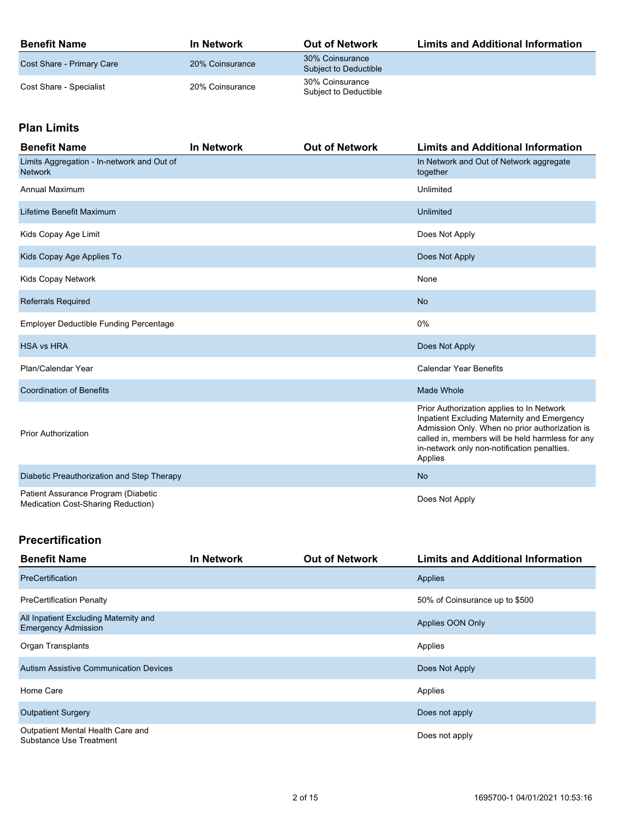| <b>Benefit Name</b>       | In Network      | <b>Out of Network</b>                    | <b>Limits and Additional Information</b> |
|---------------------------|-----------------|------------------------------------------|------------------------------------------|
| Cost Share - Primary Care | 20% Coinsurance | 30% Coinsurance<br>Subject to Deductible |                                          |
| Cost Share - Specialist   | 20% Coinsurance | 30% Coinsurance<br>Subiect to Deductible |                                          |

## **Plan Limits**

| <b>Benefit Name</b>                                                       | <b>In Network</b> | <b>Out of Network</b> | <b>Limits and Additional Information</b>                                                                                                                                                                                                                 |
|---------------------------------------------------------------------------|-------------------|-----------------------|----------------------------------------------------------------------------------------------------------------------------------------------------------------------------------------------------------------------------------------------------------|
| Limits Aggregation - In-network and Out of<br><b>Network</b>              |                   |                       | In Network and Out of Network aggregate<br>together                                                                                                                                                                                                      |
| <b>Annual Maximum</b>                                                     |                   |                       | Unlimited                                                                                                                                                                                                                                                |
| Lifetime Benefit Maximum                                                  |                   |                       | Unlimited                                                                                                                                                                                                                                                |
| Kids Copay Age Limit                                                      |                   |                       | Does Not Apply                                                                                                                                                                                                                                           |
| Kids Copay Age Applies To                                                 |                   |                       | Does Not Apply                                                                                                                                                                                                                                           |
| Kids Copay Network                                                        |                   |                       | None                                                                                                                                                                                                                                                     |
| <b>Referrals Required</b>                                                 |                   |                       | <b>No</b>                                                                                                                                                                                                                                                |
| <b>Employer Deductible Funding Percentage</b>                             |                   |                       | 0%                                                                                                                                                                                                                                                       |
| <b>HSA vs HRA</b>                                                         |                   |                       | Does Not Apply                                                                                                                                                                                                                                           |
| Plan/Calendar Year                                                        |                   |                       | <b>Calendar Year Benefits</b>                                                                                                                                                                                                                            |
| <b>Coordination of Benefits</b>                                           |                   |                       | Made Whole                                                                                                                                                                                                                                               |
| <b>Prior Authorization</b>                                                |                   |                       | Prior Authorization applies to In Network<br>Inpatient Excluding Maternity and Emergency<br>Admission Only. When no prior authorization is<br>called in, members will be held harmless for any<br>in-network only non-notification penalties.<br>Applies |
| Diabetic Preauthorization and Step Therapy                                |                   |                       | <b>No</b>                                                                                                                                                                                                                                                |
| Patient Assurance Program (Diabetic<br>Medication Cost-Sharing Reduction) |                   |                       | Does Not Apply                                                                                                                                                                                                                                           |

#### **Precertification**

| <b>Benefit Name</b>                                                 | <b>In Network</b> | <b>Out of Network</b> | <b>Limits and Additional Information</b> |
|---------------------------------------------------------------------|-------------------|-----------------------|------------------------------------------|
| PreCertification                                                    |                   |                       | Applies                                  |
| <b>PreCertification Penalty</b>                                     |                   |                       | 50% of Coinsurance up to \$500           |
| All Inpatient Excluding Maternity and<br><b>Emergency Admission</b> |                   |                       | Applies OON Only                         |
| Organ Transplants                                                   |                   |                       | Applies                                  |
| <b>Autism Assistive Communication Devices</b>                       |                   |                       | Does Not Apply                           |
| Home Care                                                           |                   |                       | Applies                                  |
| <b>Outpatient Surgery</b>                                           |                   |                       | Does not apply                           |
| Outpatient Mental Health Care and<br>Substance Use Treatment        |                   |                       | Does not apply                           |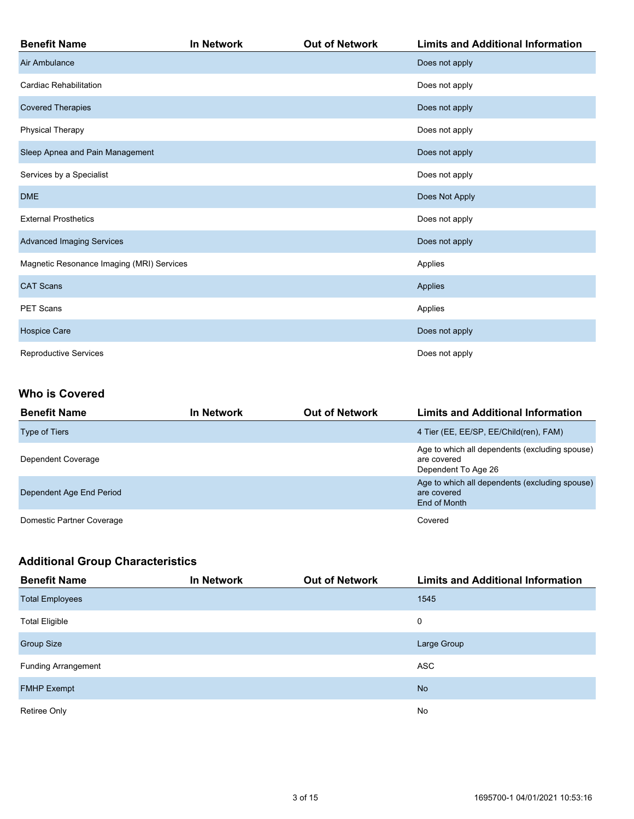| <b>Benefit Name</b>                       | In Network | <b>Out of Network</b> | <b>Limits and Additional Information</b> |
|-------------------------------------------|------------|-----------------------|------------------------------------------|
| Air Ambulance                             |            |                       | Does not apply                           |
| Cardiac Rehabilitation                    |            |                       | Does not apply                           |
| <b>Covered Therapies</b>                  |            |                       | Does not apply                           |
| <b>Physical Therapy</b>                   |            |                       | Does not apply                           |
| Sleep Apnea and Pain Management           |            |                       | Does not apply                           |
| Services by a Specialist                  |            |                       | Does not apply                           |
| <b>DME</b>                                |            |                       | Does Not Apply                           |
| <b>External Prosthetics</b>               |            |                       | Does not apply                           |
| <b>Advanced Imaging Services</b>          |            |                       | Does not apply                           |
| Magnetic Resonance Imaging (MRI) Services |            |                       | Applies                                  |
| <b>CAT Scans</b>                          |            |                       | Applies                                  |
| <b>PET Scans</b>                          |            |                       | Applies                                  |
| Hospice Care                              |            |                       | Does not apply                           |
| <b>Reproductive Services</b>              |            |                       | Does not apply                           |

### **Who is Covered**

| <b>Benefit Name</b>       | <b>In Network</b> | <b>Out of Network</b> | <b>Limits and Additional Information</b>                                             |
|---------------------------|-------------------|-----------------------|--------------------------------------------------------------------------------------|
| <b>Type of Tiers</b>      |                   |                       | 4 Tier (EE, EE/SP, EE/Child(ren), FAM)                                               |
| Dependent Coverage        |                   |                       | Age to which all dependents (excluding spouse)<br>are covered<br>Dependent To Age 26 |
| Dependent Age End Period  |                   |                       | Age to which all dependents (excluding spouse)<br>are covered<br>End of Month        |
| Domestic Partner Coverage |                   |                       | Covered                                                                              |

## **Additional Group Characteristics**

| <b>Benefit Name</b>        | <b>In Network</b> | <b>Out of Network</b> | <b>Limits and Additional Information</b> |
|----------------------------|-------------------|-----------------------|------------------------------------------|
| <b>Total Employees</b>     |                   |                       | 1545                                     |
| <b>Total Eligible</b>      |                   |                       | 0                                        |
| <b>Group Size</b>          |                   |                       | Large Group                              |
| <b>Funding Arrangement</b> |                   |                       | <b>ASC</b>                               |
| <b>FMHP Exempt</b>         |                   |                       | <b>No</b>                                |
| Retiree Only               |                   |                       | No                                       |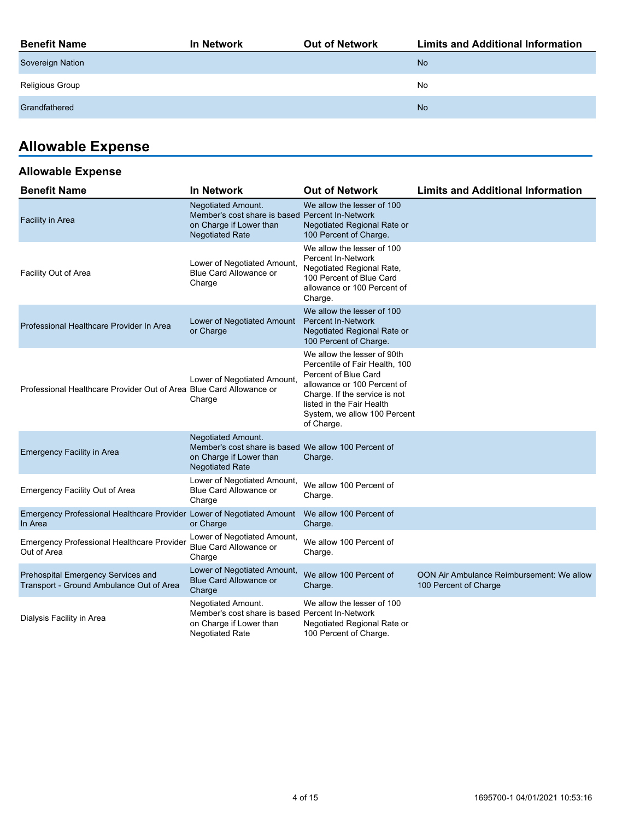| <b>Benefit Name</b>     | In Network | <b>Out of Network</b> | <b>Limits and Additional Information</b> |
|-------------------------|------------|-----------------------|------------------------------------------|
| <b>Sovereign Nation</b> |            |                       | <b>No</b>                                |
| Religious Group         |            |                       | No                                       |
| Grandfathered           |            |                       | <b>No</b>                                |
|                         |            |                       |                                          |

# **Allowable Expense**

## **Allowable Expense**

| <b>Benefit Name</b>                                                              | <b>In Network</b>                                                                                                                 | <b>Out of Network</b>                                                                                                                                                                                                            | <b>Limits and Additional Information</b>                           |
|----------------------------------------------------------------------------------|-----------------------------------------------------------------------------------------------------------------------------------|----------------------------------------------------------------------------------------------------------------------------------------------------------------------------------------------------------------------------------|--------------------------------------------------------------------|
| <b>Facility in Area</b>                                                          | <b>Negotiated Amount.</b><br>Member's cost share is based Percent In-Network<br>on Charge if Lower than<br><b>Negotiated Rate</b> | We allow the lesser of 100<br>Negotiated Regional Rate or<br>100 Percent of Charge.                                                                                                                                              |                                                                    |
| Facility Out of Area                                                             | Lower of Negotiated Amount,<br>Blue Card Allowance or<br>Charge                                                                   | We allow the lesser of 100<br>Percent In-Network<br>Negotiated Regional Rate,<br>100 Percent of Blue Card<br>allowance or 100 Percent of<br>Charge.                                                                              |                                                                    |
| Professional Healthcare Provider In Area                                         | Lower of Negotiated Amount<br>or Charge                                                                                           | We allow the lesser of 100<br><b>Percent In-Network</b><br>Negotiated Regional Rate or<br>100 Percent of Charge.                                                                                                                 |                                                                    |
| Professional Healthcare Provider Out of Area Blue Card Allowance or              | Lower of Negotiated Amount,<br>Charge                                                                                             | We allow the lesser of 90th<br>Percentile of Fair Health, 100<br>Percent of Blue Card<br>allowance or 100 Percent of<br>Charge. If the service is not<br>listed in the Fair Health<br>System, we allow 100 Percent<br>of Charge. |                                                                    |
| <b>Emergency Facility in Area</b>                                                | Negotiated Amount.<br>Member's cost share is based We allow 100 Percent of<br>on Charge if Lower than<br><b>Negotiated Rate</b>   | Charge.                                                                                                                                                                                                                          |                                                                    |
| <b>Emergency Facility Out of Area</b>                                            | Lower of Negotiated Amount,<br>Blue Card Allowance or<br>Charge                                                                   | We allow 100 Percent of<br>Charge.                                                                                                                                                                                               |                                                                    |
| Emergency Professional Healthcare Provider Lower of Negotiated Amount<br>In Area | or Charge                                                                                                                         | We allow 100 Percent of<br>Charge.                                                                                                                                                                                               |                                                                    |
| <b>Emergency Professional Healthcare Provider</b><br>Out of Area                 | Lower of Negotiated Amount,<br>Blue Card Allowance or<br>Charge                                                                   | We allow 100 Percent of<br>Charge.                                                                                                                                                                                               |                                                                    |
| Prehospital Emergency Services and<br>Transport - Ground Ambulance Out of Area   | Lower of Negotiated Amount,<br><b>Blue Card Allowance or</b><br>Charge                                                            | We allow 100 Percent of<br>Charge.                                                                                                                                                                                               | OON Air Ambulance Reimbursement: We allow<br>100 Percent of Charge |
| Dialysis Facility in Area                                                        | Negotiated Amount.<br>Member's cost share is based Percent In-Network<br>on Charge if Lower than<br><b>Negotiated Rate</b>        | We allow the lesser of 100<br>Negotiated Regional Rate or<br>100 Percent of Charge.                                                                                                                                              |                                                                    |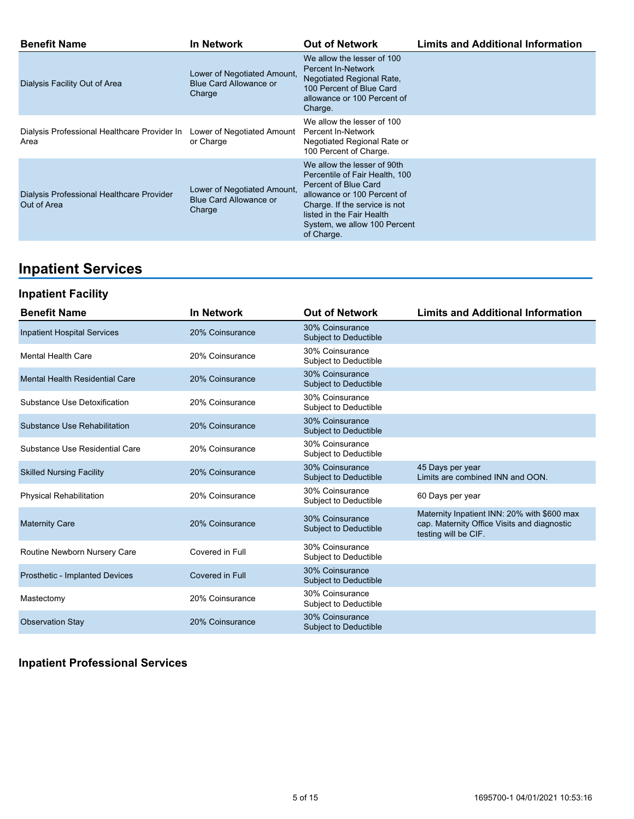| <b>Benefit Name</b>                                                             | <b>In Network</b>                                               | <b>Out of Network</b>                                                                                                                                                                                                            | <b>Limits and Additional Information</b> |
|---------------------------------------------------------------------------------|-----------------------------------------------------------------|----------------------------------------------------------------------------------------------------------------------------------------------------------------------------------------------------------------------------------|------------------------------------------|
| Dialysis Facility Out of Area                                                   | Lower of Negotiated Amount,<br>Blue Card Allowance or<br>Charge | We allow the lesser of 100<br>Percent In-Network<br>Negotiated Regional Rate,<br>100 Percent of Blue Card<br>allowance or 100 Percent of<br>Charge.                                                                              |                                          |
| Dialysis Professional Healthcare Provider In Lower of Negotiated Amount<br>Area | or Charge                                                       | We allow the lesser of 100<br>Percent In-Network<br>Negotiated Regional Rate or<br>100 Percent of Charge.                                                                                                                        |                                          |
| Dialysis Professional Healthcare Provider<br>Out of Area                        | Lower of Negotiated Amount,<br>Blue Card Allowance or<br>Charge | We allow the lesser of 90th<br>Percentile of Fair Health, 100<br>Percent of Blue Card<br>allowance or 100 Percent of<br>Charge. If the service is not<br>listed in the Fair Health<br>System, we allow 100 Percent<br>of Charge. |                                          |

# **Inpatient Services**

## **Inpatient Facility**

| <b>Benefit Name</b>                | <b>In Network</b> | <b>Out of Network</b>                           | <b>Limits and Additional Information</b>                                                                           |
|------------------------------------|-------------------|-------------------------------------------------|--------------------------------------------------------------------------------------------------------------------|
| <b>Inpatient Hospital Services</b> | 20% Coinsurance   | 30% Coinsurance<br><b>Subject to Deductible</b> |                                                                                                                    |
| <b>Mental Health Care</b>          | 20% Coinsurance   | 30% Coinsurance<br>Subject to Deductible        |                                                                                                                    |
| Mental Health Residential Care     | 20% Coinsurance   | 30% Coinsurance<br>Subject to Deductible        |                                                                                                                    |
| Substance Use Detoxification       | 20% Coinsurance   | 30% Coinsurance<br>Subject to Deductible        |                                                                                                                    |
| Substance Use Rehabilitation       | 20% Coinsurance   | 30% Coinsurance<br>Subject to Deductible        |                                                                                                                    |
| Substance Use Residential Care     | 20% Coinsurance   | 30% Coinsurance<br>Subject to Deductible        |                                                                                                                    |
| <b>Skilled Nursing Facility</b>    | 20% Coinsurance   | 30% Coinsurance<br>Subject to Deductible        | 45 Days per year<br>Limits are combined INN and OON.                                                               |
| <b>Physical Rehabilitation</b>     | 20% Coinsurance   | 30% Coinsurance<br>Subject to Deductible        | 60 Days per year                                                                                                   |
| <b>Maternity Care</b>              | 20% Coinsurance   | 30% Coinsurance<br>Subject to Deductible        | Maternity Inpatient INN: 20% with \$600 max<br>cap. Maternity Office Visits and diagnostic<br>testing will be CIF. |
| Routine Newborn Nursery Care       | Covered in Full   | 30% Coinsurance<br>Subject to Deductible        |                                                                                                                    |
| Prosthetic - Implanted Devices     | Covered in Full   | 30% Coinsurance<br>Subject to Deductible        |                                                                                                                    |
| Mastectomy                         | 20% Coinsurance   | 30% Coinsurance<br>Subject to Deductible        |                                                                                                                    |
| <b>Observation Stay</b>            | 20% Coinsurance   | 30% Coinsurance<br>Subject to Deductible        |                                                                                                                    |

## **Inpatient Professional Services**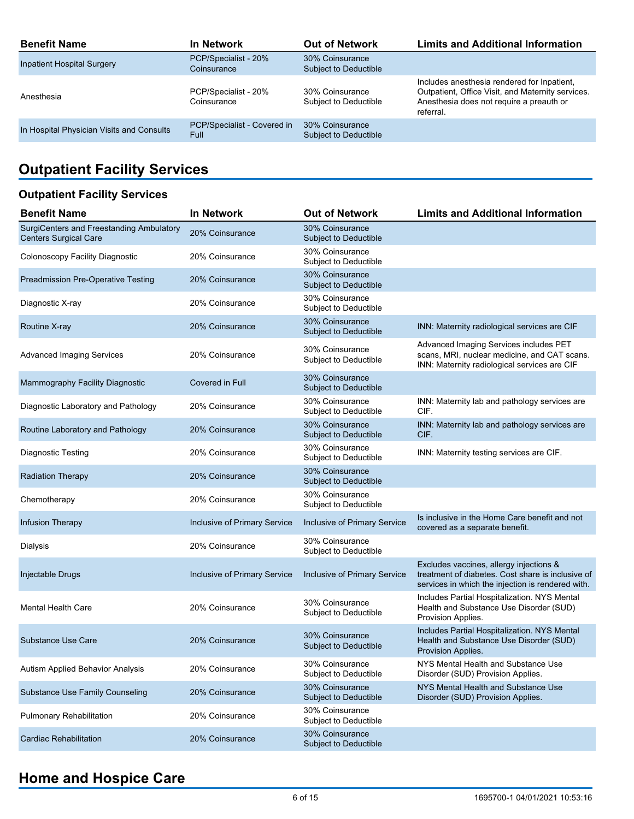| <b>Benefit Name</b>                       | In Network                                 | <b>Out of Network</b>                           | <b>Limits and Additional Information</b>                                                                                                                  |
|-------------------------------------------|--------------------------------------------|-------------------------------------------------|-----------------------------------------------------------------------------------------------------------------------------------------------------------|
| <b>Inpatient Hospital Surgery</b>         | PCP/Specialist - 20%<br>Coinsurance        | 30% Coinsurance<br><b>Subject to Deductible</b> |                                                                                                                                                           |
| Anesthesia                                | PCP/Specialist - 20%<br>Coinsurance        | 30% Coinsurance<br>Subject to Deductible        | Includes anesthesia rendered for Inpatient,<br>Outpatient, Office Visit, and Maternity services.<br>Anesthesia does not require a preauth or<br>referral. |
| In Hospital Physician Visits and Consults | PCP/Specialist - Covered in<br><b>Full</b> | 30% Coinsurance<br>Subject to Deductible        |                                                                                                                                                           |

# **Outpatient Facility Services**

## **Outpatient Facility Services**

| <b>Benefit Name</b>                                                      | <b>In Network</b>            | <b>Out of Network</b>                           | <b>Limits and Additional Information</b>                                                                                                          |
|--------------------------------------------------------------------------|------------------------------|-------------------------------------------------|---------------------------------------------------------------------------------------------------------------------------------------------------|
| SurgiCenters and Freestanding Ambulatory<br><b>Centers Surgical Care</b> | 20% Coinsurance              | 30% Coinsurance<br>Subject to Deductible        |                                                                                                                                                   |
| Colonoscopy Facility Diagnostic                                          | 20% Coinsurance              | 30% Coinsurance<br><b>Subject to Deductible</b> |                                                                                                                                                   |
| <b>Preadmission Pre-Operative Testing</b>                                | 20% Coinsurance              | 30% Coinsurance<br>Subject to Deductible        |                                                                                                                                                   |
| Diagnostic X-ray                                                         | 20% Coinsurance              | 30% Coinsurance<br><b>Subject to Deductible</b> |                                                                                                                                                   |
| Routine X-ray                                                            | 20% Coinsurance              | 30% Coinsurance<br><b>Subject to Deductible</b> | INN: Maternity radiological services are CIF                                                                                                      |
| <b>Advanced Imaging Services</b>                                         | 20% Coinsurance              | 30% Coinsurance<br>Subject to Deductible        | Advanced Imaging Services includes PET<br>scans, MRI, nuclear medicine, and CAT scans.<br>INN: Maternity radiological services are CIF            |
| Mammography Facility Diagnostic                                          | Covered in Full              | 30% Coinsurance<br>Subject to Deductible        |                                                                                                                                                   |
| Diagnostic Laboratory and Pathology                                      | 20% Coinsurance              | 30% Coinsurance<br>Subject to Deductible        | INN: Maternity lab and pathology services are<br>CIF.                                                                                             |
| Routine Laboratory and Pathology                                         | 20% Coinsurance              | 30% Coinsurance<br>Subject to Deductible        | INN: Maternity lab and pathology services are<br>CIF.                                                                                             |
| Diagnostic Testing                                                       | 20% Coinsurance              | 30% Coinsurance<br>Subject to Deductible        | INN: Maternity testing services are CIF.                                                                                                          |
| <b>Radiation Therapy</b>                                                 | 20% Coinsurance              | 30% Coinsurance<br>Subject to Deductible        |                                                                                                                                                   |
| Chemotherapy                                                             | 20% Coinsurance              | 30% Coinsurance<br>Subject to Deductible        |                                                                                                                                                   |
| <b>Infusion Therapy</b>                                                  | Inclusive of Primary Service | Inclusive of Primary Service                    | Is inclusive in the Home Care benefit and not<br>covered as a separate benefit.                                                                   |
| Dialysis                                                                 | 20% Coinsurance              | 30% Coinsurance<br>Subject to Deductible        |                                                                                                                                                   |
| Injectable Drugs                                                         | Inclusive of Primary Service | Inclusive of Primary Service                    | Excludes vaccines, allergy injections &<br>treatment of diabetes. Cost share is inclusive of<br>services in which the injection is rendered with. |
| <b>Mental Health Care</b>                                                | 20% Coinsurance              | 30% Coinsurance<br>Subject to Deductible        | Includes Partial Hospitalization. NYS Mental<br>Health and Substance Use Disorder (SUD)<br>Provision Applies.                                     |
| <b>Substance Use Care</b>                                                | 20% Coinsurance              | 30% Coinsurance<br>Subject to Deductible        | Includes Partial Hospitalization. NYS Mental<br>Health and Substance Use Disorder (SUD)<br>Provision Applies.                                     |
| Autism Applied Behavior Analysis                                         | 20% Coinsurance              | 30% Coinsurance<br>Subject to Deductible        | NYS Mental Health and Substance Use<br>Disorder (SUD) Provision Applies.                                                                          |
| Substance Use Family Counseling                                          | 20% Coinsurance              | 30% Coinsurance<br>Subject to Deductible        | NYS Mental Health and Substance Use<br>Disorder (SUD) Provision Applies.                                                                          |
| Pulmonary Rehabilitation                                                 | 20% Coinsurance              | 30% Coinsurance<br>Subject to Deductible        |                                                                                                                                                   |
| <b>Cardiac Rehabilitation</b>                                            | 20% Coinsurance              | 30% Coinsurance<br>Subject to Deductible        |                                                                                                                                                   |

# **Home and Hospice Care**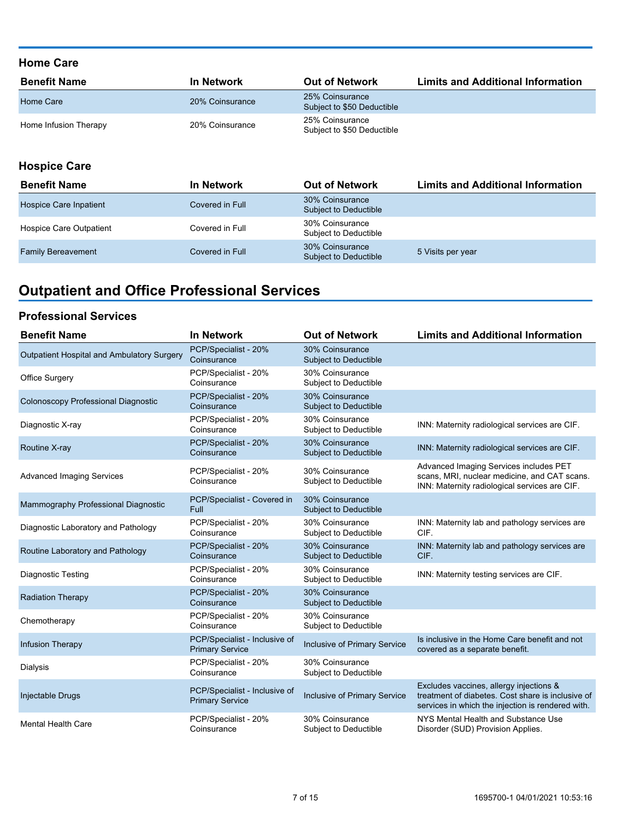### **Home Care**

| <b>Benefit Name</b>   | <b>In Network</b> | <b>Out of Network</b>                         | <b>Limits and Additional Information</b> |
|-----------------------|-------------------|-----------------------------------------------|------------------------------------------|
| Home Care             | 20% Coinsurance   | 25% Coinsurance<br>Subject to \$50 Deductible |                                          |
| Home Infusion Therapy | 20% Coinsurance   | 25% Coinsurance<br>Subject to \$50 Deductible |                                          |

### **Hospice Care**

| <b>Benefit Name</b>       | <b>In Network</b> | <b>Out of Network</b>                    | <b>Limits and Additional Information</b> |
|---------------------------|-------------------|------------------------------------------|------------------------------------------|
| Hospice Care Inpatient    | Covered in Full   | 30% Coinsurance<br>Subject to Deductible |                                          |
| Hospice Care Outpatient   | Covered in Full   | 30% Coinsurance<br>Subject to Deductible |                                          |
| <b>Family Bereavement</b> | Covered in Full   | 30% Coinsurance<br>Subject to Deductible | 5 Visits per year                        |

# **Outpatient and Office Professional Services**

### **Professional Services**

| <b>Benefit Name</b>                        | <b>In Network</b>                                       | <b>Out of Network</b>                           | <b>Limits and Additional Information</b>                                                                                                          |
|--------------------------------------------|---------------------------------------------------------|-------------------------------------------------|---------------------------------------------------------------------------------------------------------------------------------------------------|
| Outpatient Hospital and Ambulatory Surgery | PCP/Specialist - 20%<br>Coinsurance                     | 30% Coinsurance<br><b>Subject to Deductible</b> |                                                                                                                                                   |
| <b>Office Surgery</b>                      | PCP/Specialist - 20%<br>Coinsurance                     | 30% Coinsurance<br>Subject to Deductible        |                                                                                                                                                   |
| Colonoscopy Professional Diagnostic        | PCP/Specialist - 20%<br>Coinsurance                     | 30% Coinsurance<br><b>Subject to Deductible</b> |                                                                                                                                                   |
| Diagnostic X-ray                           | PCP/Specialist - 20%<br>Coinsurance                     | 30% Coinsurance<br>Subject to Deductible        | INN: Maternity radiological services are CIF.                                                                                                     |
| Routine X-ray                              | PCP/Specialist - 20%<br>Coinsurance                     | 30% Coinsurance<br><b>Subject to Deductible</b> | INN: Maternity radiological services are CIF.                                                                                                     |
| <b>Advanced Imaging Services</b>           | PCP/Specialist - 20%<br>Coinsurance                     | 30% Coinsurance<br>Subject to Deductible        | Advanced Imaging Services includes PET<br>scans, MRI, nuclear medicine, and CAT scans.<br>INN: Maternity radiological services are CIF.           |
| Mammography Professional Diagnostic        | PCP/Specialist - Covered in<br>Full                     | 30% Coinsurance<br><b>Subject to Deductible</b> |                                                                                                                                                   |
| Diagnostic Laboratory and Pathology        | PCP/Specialist - 20%<br>Coinsurance                     | 30% Coinsurance<br>Subject to Deductible        | INN: Maternity lab and pathology services are<br>CIF.                                                                                             |
| Routine Laboratory and Pathology           | PCP/Specialist - 20%<br>Coinsurance                     | 30% Coinsurance<br><b>Subject to Deductible</b> | INN: Maternity lab and pathology services are<br>CIF.                                                                                             |
| <b>Diagnostic Testing</b>                  | PCP/Specialist - 20%<br>Coinsurance                     | 30% Coinsurance<br>Subject to Deductible        | INN: Maternity testing services are CIF.                                                                                                          |
| <b>Radiation Therapy</b>                   | PCP/Specialist - 20%<br>Coinsurance                     | 30% Coinsurance<br>Subject to Deductible        |                                                                                                                                                   |
| Chemotherapy                               | PCP/Specialist - 20%<br>Coinsurance                     | 30% Coinsurance<br>Subject to Deductible        |                                                                                                                                                   |
| <b>Infusion Therapy</b>                    | PCP/Specialist - Inclusive of<br><b>Primary Service</b> | <b>Inclusive of Primary Service</b>             | Is inclusive in the Home Care benefit and not<br>covered as a separate benefit.                                                                   |
| Dialysis                                   | PCP/Specialist - 20%<br>Coinsurance                     | 30% Coinsurance<br>Subject to Deductible        |                                                                                                                                                   |
| Injectable Drugs                           | PCP/Specialist - Inclusive of<br><b>Primary Service</b> | Inclusive of Primary Service                    | Excludes vaccines, allergy injections &<br>treatment of diabetes. Cost share is inclusive of<br>services in which the injection is rendered with. |
| <b>Mental Health Care</b>                  | PCP/Specialist - 20%<br>Coinsurance                     | 30% Coinsurance<br>Subject to Deductible        | NYS Mental Health and Substance Use<br>Disorder (SUD) Provision Applies.                                                                          |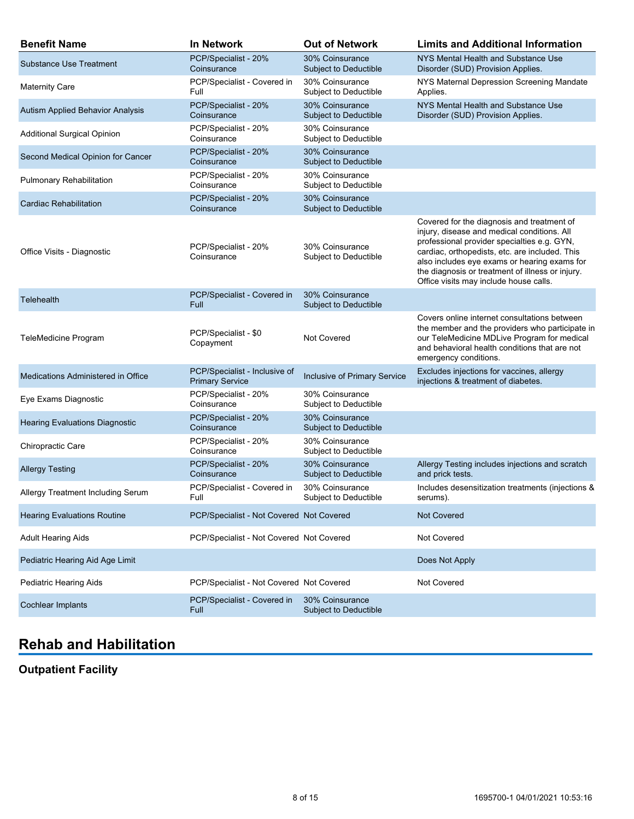| <b>Benefit Name</b>                   | <b>In Network</b>                                       | <b>Out of Network</b>                           | <b>Limits and Additional Information</b>                                                                                                                                                                                                                                                                                                 |
|---------------------------------------|---------------------------------------------------------|-------------------------------------------------|------------------------------------------------------------------------------------------------------------------------------------------------------------------------------------------------------------------------------------------------------------------------------------------------------------------------------------------|
| <b>Substance Use Treatment</b>        | PCP/Specialist - 20%<br>Coinsurance                     | 30% Coinsurance<br><b>Subject to Deductible</b> | NYS Mental Health and Substance Use<br>Disorder (SUD) Provision Applies.                                                                                                                                                                                                                                                                 |
| <b>Maternity Care</b>                 | PCP/Specialist - Covered in<br>Full                     | 30% Coinsurance<br>Subject to Deductible        | NYS Maternal Depression Screening Mandate<br>Applies.                                                                                                                                                                                                                                                                                    |
| Autism Applied Behavior Analysis      | PCP/Specialist - 20%<br>Coinsurance                     | 30% Coinsurance<br>Subject to Deductible        | NYS Mental Health and Substance Use<br>Disorder (SUD) Provision Applies.                                                                                                                                                                                                                                                                 |
| <b>Additional Surgical Opinion</b>    | PCP/Specialist - 20%<br>Coinsurance                     | 30% Coinsurance<br>Subject to Deductible        |                                                                                                                                                                                                                                                                                                                                          |
| Second Medical Opinion for Cancer     | PCP/Specialist - 20%<br>Coinsurance                     | 30% Coinsurance<br>Subject to Deductible        |                                                                                                                                                                                                                                                                                                                                          |
| <b>Pulmonary Rehabilitation</b>       | PCP/Specialist - 20%<br>Coinsurance                     | 30% Coinsurance<br>Subject to Deductible        |                                                                                                                                                                                                                                                                                                                                          |
| Cardiac Rehabilitation                | PCP/Specialist - 20%<br>Coinsurance                     | 30% Coinsurance<br>Subject to Deductible        |                                                                                                                                                                                                                                                                                                                                          |
| Office Visits - Diagnostic            | PCP/Specialist - 20%<br>Coinsurance                     | 30% Coinsurance<br>Subject to Deductible        | Covered for the diagnosis and treatment of<br>injury, disease and medical conditions. All<br>professional provider specialties e.g. GYN,<br>cardiac, orthopedists, etc. are included. This<br>also includes eye exams or hearing exams for<br>the diagnosis or treatment of illness or injury.<br>Office visits may include house calls. |
| <b>Telehealth</b>                     | PCP/Specialist - Covered in<br>Full                     | 30% Coinsurance<br>Subject to Deductible        |                                                                                                                                                                                                                                                                                                                                          |
| <b>TeleMedicine Program</b>           | PCP/Specialist - \$0<br>Copayment                       | <b>Not Covered</b>                              | Covers online internet consultations between<br>the member and the providers who participate in<br>our TeleMedicine MDLive Program for medical<br>and behavioral health conditions that are not<br>emergency conditions.                                                                                                                 |
| Medications Administered in Office    | PCP/Specialist - Inclusive of<br><b>Primary Service</b> | Inclusive of Primary Service                    | Excludes injections for vaccines, allergy<br>injections & treatment of diabetes.                                                                                                                                                                                                                                                         |
| Eye Exams Diagnostic                  | PCP/Specialist - 20%<br>Coinsurance                     | 30% Coinsurance<br>Subject to Deductible        |                                                                                                                                                                                                                                                                                                                                          |
| <b>Hearing Evaluations Diagnostic</b> | PCP/Specialist - 20%<br>Coinsurance                     | 30% Coinsurance<br>Subject to Deductible        |                                                                                                                                                                                                                                                                                                                                          |
| Chiropractic Care                     | PCP/Specialist - 20%<br>Coinsurance                     | 30% Coinsurance<br>Subject to Deductible        |                                                                                                                                                                                                                                                                                                                                          |
| <b>Allergy Testing</b>                | PCP/Specialist - 20%<br>Coinsurance                     | 30% Coinsurance<br>Subject to Deductible        | Allergy Testing includes injections and scratch<br>and prick tests.                                                                                                                                                                                                                                                                      |
| Allergy Treatment Including Serum     | PCP/Specialist - Covered in<br>Full                     | 30% Coinsurance<br>Subject to Deductible        | Includes desensitization treatments (injections &<br>serums).                                                                                                                                                                                                                                                                            |
| <b>Hearing Evaluations Routine</b>    | PCP/Specialist - Not Covered Not Covered                |                                                 | <b>Not Covered</b>                                                                                                                                                                                                                                                                                                                       |
| <b>Adult Hearing Aids</b>             | PCP/Specialist - Not Covered Not Covered                |                                                 | Not Covered                                                                                                                                                                                                                                                                                                                              |
| Pediatric Hearing Aid Age Limit       |                                                         |                                                 | Does Not Apply                                                                                                                                                                                                                                                                                                                           |
| Pediatric Hearing Aids                | PCP/Specialist - Not Covered Not Covered                |                                                 | Not Covered                                                                                                                                                                                                                                                                                                                              |
| Cochlear Implants                     | PCP/Specialist - Covered in<br>Full                     | 30% Coinsurance<br>Subject to Deductible        |                                                                                                                                                                                                                                                                                                                                          |

# **Rehab and Habilitation**

## **Outpatient Facility**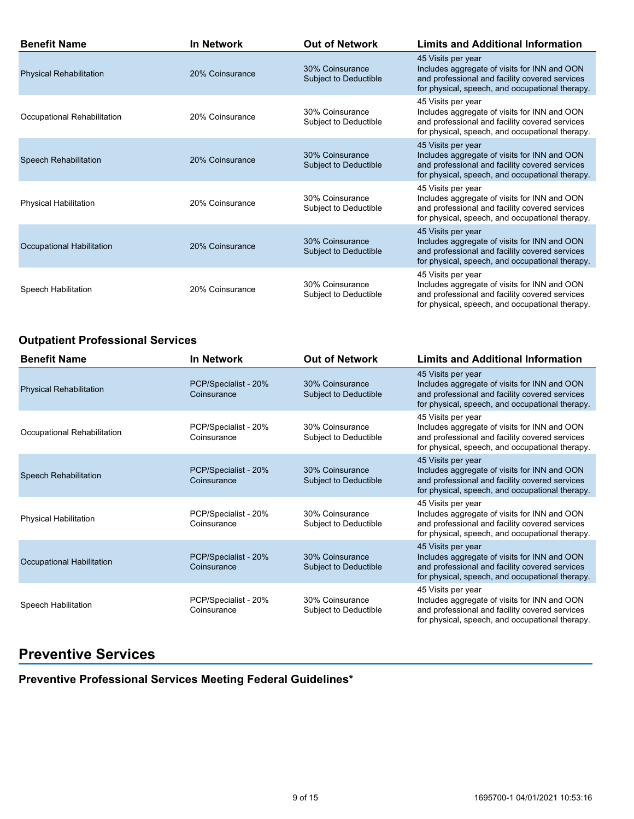| <b>Benefit Name</b>            | <b>In Network</b> | <b>Out of Network</b>                           | <b>Limits and Additional Information</b>                                                                                                                                |
|--------------------------------|-------------------|-------------------------------------------------|-------------------------------------------------------------------------------------------------------------------------------------------------------------------------|
| <b>Physical Rehabilitation</b> | 20% Coinsurance   | 30% Coinsurance<br>Subject to Deductible        | 45 Visits per year<br>Includes aggregate of visits for INN and OON<br>and professional and facility covered services<br>for physical, speech, and occupational therapy. |
| Occupational Rehabilitation    | 20% Coinsurance   | 30% Coinsurance<br>Subject to Deductible        | 45 Visits per year<br>Includes aggregate of visits for INN and OON<br>and professional and facility covered services<br>for physical, speech, and occupational therapy. |
| <b>Speech Rehabilitation</b>   | 20% Coinsurance   | 30% Coinsurance<br>Subject to Deductible        | 45 Visits per year<br>Includes aggregate of visits for INN and OON<br>and professional and facility covered services<br>for physical, speech, and occupational therapy. |
| Physical Habilitation          | 20% Coinsurance   | 30% Coinsurance<br>Subject to Deductible        | 45 Visits per year<br>Includes aggregate of visits for INN and OON<br>and professional and facility covered services<br>for physical, speech, and occupational therapy. |
| Occupational Habilitation      | 20% Coinsurance   | 30% Coinsurance<br><b>Subject to Deductible</b> | 45 Visits per year<br>Includes aggregate of visits for INN and OON<br>and professional and facility covered services<br>for physical, speech, and occupational therapy. |
| Speech Habilitation            | 20% Coinsurance   | 30% Coinsurance<br>Subject to Deductible        | 45 Visits per year<br>Includes aggregate of visits for INN and OON<br>and professional and facility covered services<br>for physical, speech, and occupational therapy. |

### **Outpatient Professional Services**

| <b>Benefit Name</b>            | <b>In Network</b>                   | <b>Out of Network</b>                    | <b>Limits and Additional Information</b>                                                                                                                                |
|--------------------------------|-------------------------------------|------------------------------------------|-------------------------------------------------------------------------------------------------------------------------------------------------------------------------|
| <b>Physical Rehabilitation</b> | PCP/Specialist - 20%<br>Coinsurance | 30% Coinsurance<br>Subject to Deductible | 45 Visits per year<br>Includes aggregate of visits for INN and OON<br>and professional and facility covered services<br>for physical, speech, and occupational therapy. |
| Occupational Rehabilitation    | PCP/Specialist - 20%<br>Coinsurance | 30% Coinsurance<br>Subject to Deductible | 45 Visits per year<br>Includes aggregate of visits for INN and OON<br>and professional and facility covered services<br>for physical, speech, and occupational therapy. |
| Speech Rehabilitation          | PCP/Specialist - 20%<br>Coinsurance | 30% Coinsurance<br>Subject to Deductible | 45 Visits per year<br>Includes aggregate of visits for INN and OON<br>and professional and facility covered services<br>for physical, speech, and occupational therapy. |
| <b>Physical Habilitation</b>   | PCP/Specialist - 20%<br>Coinsurance | 30% Coinsurance<br>Subject to Deductible | 45 Visits per year<br>Includes aggregate of visits for INN and OON<br>and professional and facility covered services<br>for physical, speech, and occupational therapy. |
| Occupational Habilitation      | PCP/Specialist - 20%<br>Coinsurance | 30% Coinsurance<br>Subject to Deductible | 45 Visits per year<br>Includes aggregate of visits for INN and OON<br>and professional and facility covered services<br>for physical, speech, and occupational therapy. |
| Speech Habilitation            | PCP/Specialist - 20%<br>Coinsurance | 30% Coinsurance<br>Subject to Deductible | 45 Visits per year<br>Includes aggregate of visits for INN and OON<br>and professional and facility covered services<br>for physical, speech, and occupational therapy. |

## **Preventive Services**

**Preventive Professional Services Meeting Federal Guidelines\***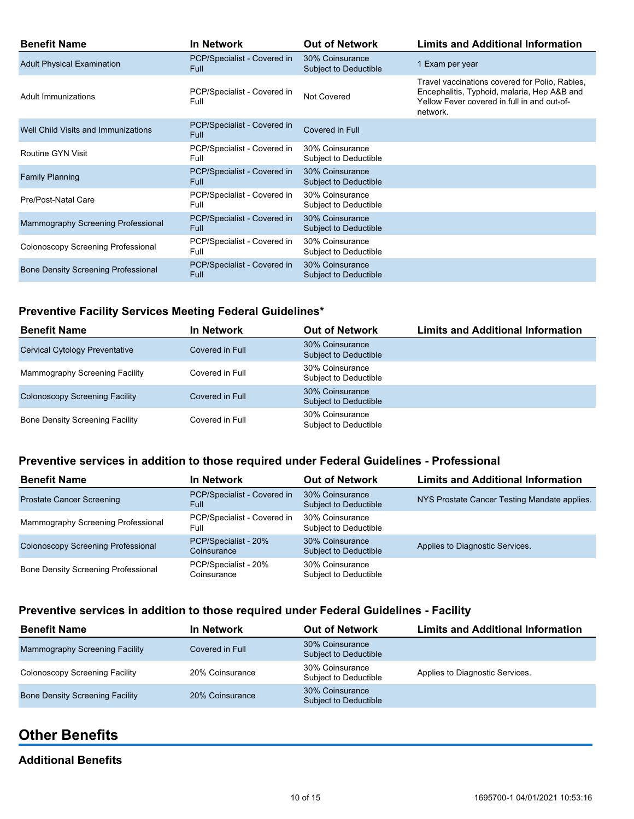| <b>Benefit Name</b>                        | <b>In Network</b>                          | <b>Out of Network</b>                           | <b>Limits and Additional Information</b>                                                                                                                 |
|--------------------------------------------|--------------------------------------------|-------------------------------------------------|----------------------------------------------------------------------------------------------------------------------------------------------------------|
| <b>Adult Physical Examination</b>          | PCP/Specialist - Covered in<br><b>Full</b> | 30% Coinsurance<br><b>Subject to Deductible</b> | 1 Exam per year                                                                                                                                          |
| Adult Immunizations                        | PCP/Specialist - Covered in<br>Full        | Not Covered                                     | Travel vaccinations covered for Polio, Rabies,<br>Encephalitis, Typhoid, malaria, Hep A&B and<br>Yellow Fever covered in full in and out-of-<br>network. |
| Well Child Visits and Immunizations        | PCP/Specialist - Covered in<br><b>Full</b> | Covered in Full                                 |                                                                                                                                                          |
| Routine GYN Visit                          | PCP/Specialist - Covered in<br>Full        | 30% Coinsurance<br>Subject to Deductible        |                                                                                                                                                          |
| <b>Family Planning</b>                     | PCP/Specialist - Covered in<br><b>Full</b> | 30% Coinsurance<br>Subject to Deductible        |                                                                                                                                                          |
| Pre/Post-Natal Care                        | PCP/Specialist - Covered in<br>Full        | 30% Coinsurance<br>Subject to Deductible        |                                                                                                                                                          |
| Mammography Screening Professional         | PCP/Specialist - Covered in<br><b>Full</b> | 30% Coinsurance<br>Subject to Deductible        |                                                                                                                                                          |
| Colonoscopy Screening Professional         | PCP/Specialist - Covered in<br>Full        | 30% Coinsurance<br>Subject to Deductible        |                                                                                                                                                          |
| <b>Bone Density Screening Professional</b> | PCP/Specialist - Covered in<br>Full        | 30% Coinsurance<br>Subject to Deductible        |                                                                                                                                                          |

### **Preventive Facility Services Meeting Federal Guidelines\***

| <b>Benefit Name</b>                    | <b>In Network</b> | <b>Out of Network</b>                    | <b>Limits and Additional Information</b> |
|----------------------------------------|-------------------|------------------------------------------|------------------------------------------|
| <b>Cervical Cytology Preventative</b>  | Covered in Full   | 30% Coinsurance<br>Subject to Deductible |                                          |
| Mammography Screening Facility         | Covered in Full   | 30% Coinsurance<br>Subject to Deductible |                                          |
| <b>Colonoscopy Screening Facility</b>  | Covered in Full   | 30% Coinsurance<br>Subject to Deductible |                                          |
| <b>Bone Density Screening Facility</b> | Covered in Full   | 30% Coinsurance<br>Subject to Deductible |                                          |

### **Preventive services in addition to those required under Federal Guidelines - Professional**

| <b>Benefit Name</b>                        | In Network                                 | <b>Out of Network</b>                           | <b>Limits and Additional Information</b>     |
|--------------------------------------------|--------------------------------------------|-------------------------------------------------|----------------------------------------------|
| <b>Prostate Cancer Screening</b>           | PCP/Specialist - Covered in<br><b>Full</b> | 30% Coinsurance<br><b>Subject to Deductible</b> | NYS Prostate Cancer Testing Mandate applies. |
| Mammography Screening Professional         | PCP/Specialist - Covered in<br>Full        | 30% Coinsurance<br>Subject to Deductible        |                                              |
| Colonoscopy Screening Professional         | PCP/Specialist - 20%<br>Coinsurance        | 30% Coinsurance<br><b>Subject to Deductible</b> | Applies to Diagnostic Services.              |
| <b>Bone Density Screening Professional</b> | PCP/Specialist - 20%<br>Coinsurance        | 30% Coinsurance<br>Subject to Deductible        |                                              |

### **Preventive services in addition to those required under Federal Guidelines - Facility**

| <b>Benefit Name</b>                    | In Network      | <b>Out of Network</b>                    | <b>Limits and Additional Information</b> |
|----------------------------------------|-----------------|------------------------------------------|------------------------------------------|
| Mammography Screening Facility         | Covered in Full | 30% Coinsurance<br>Subject to Deductible |                                          |
| <b>Colonoscopy Screening Facility</b>  | 20% Coinsurance | 30% Coinsurance<br>Subject to Deductible | Applies to Diagnostic Services.          |
| <b>Bone Density Screening Facility</b> | 20% Coinsurance | 30% Coinsurance<br>Subject to Deductible |                                          |

## **Other Benefits**

### **Additional Benefits**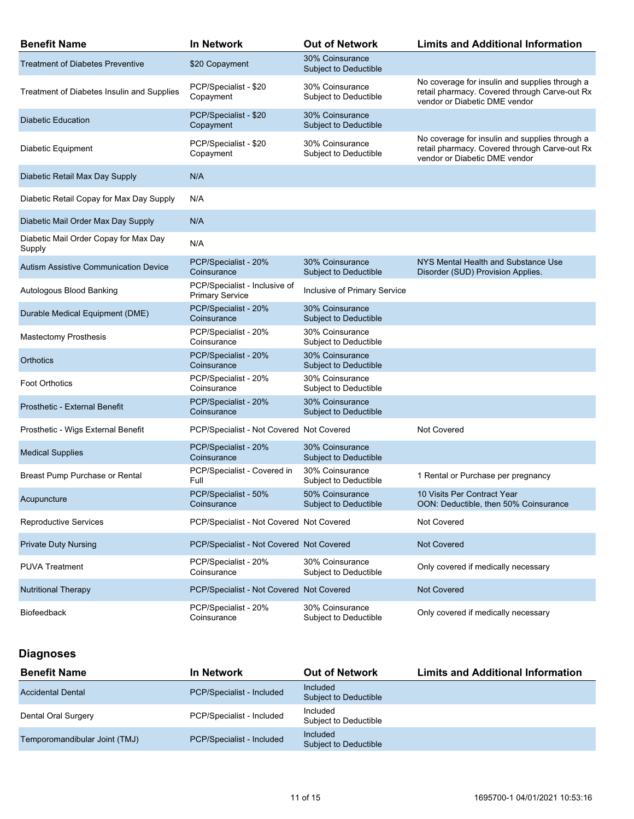| <b>Benefit Name</b>                             | <b>In Network</b>                                       | <b>Out of Network</b>                           | <b>Limits and Additional Information</b>                                                                                         |
|-------------------------------------------------|---------------------------------------------------------|-------------------------------------------------|----------------------------------------------------------------------------------------------------------------------------------|
| <b>Treatment of Diabetes Preventive</b>         | \$20 Copayment                                          | 30% Coinsurance<br><b>Subject to Deductible</b> |                                                                                                                                  |
| Treatment of Diabetes Insulin and Supplies      | PCP/Specialist - \$20<br>Copayment                      | 30% Coinsurance<br>Subject to Deductible        | No coverage for insulin and supplies through a<br>retail pharmacy. Covered through Carve-out Rx<br>vendor or Diabetic DME vendor |
| <b>Diabetic Education</b>                       | PCP/Specialist - \$20<br>Copayment                      | 30% Coinsurance<br><b>Subject to Deductible</b> |                                                                                                                                  |
| Diabetic Equipment                              | PCP/Specialist - \$20<br>Copayment                      | 30% Coinsurance<br>Subject to Deductible        | No coverage for insulin and supplies through a<br>retail pharmacy. Covered through Carve-out Rx<br>vendor or Diabetic DME vendor |
| Diabetic Retail Max Day Supply                  | N/A                                                     |                                                 |                                                                                                                                  |
| Diabetic Retail Copay for Max Day Supply        | N/A                                                     |                                                 |                                                                                                                                  |
| Diabetic Mail Order Max Day Supply              | N/A                                                     |                                                 |                                                                                                                                  |
| Diabetic Mail Order Copay for Max Day<br>Supply | N/A                                                     |                                                 |                                                                                                                                  |
| <b>Autism Assistive Communication Device</b>    | PCP/Specialist - 20%<br>Coinsurance                     | 30% Coinsurance<br><b>Subject to Deductible</b> | NYS Mental Health and Substance Use<br>Disorder (SUD) Provision Applies.                                                         |
| Autologous Blood Banking                        | PCP/Specialist - Inclusive of<br><b>Primary Service</b> | Inclusive of Primary Service                    |                                                                                                                                  |
| Durable Medical Equipment (DME)                 | PCP/Specialist - 20%<br>Coinsurance                     | 30% Coinsurance<br>Subject to Deductible        |                                                                                                                                  |
| <b>Mastectomy Prosthesis</b>                    | PCP/Specialist - 20%<br>Coinsurance                     | 30% Coinsurance<br>Subject to Deductible        |                                                                                                                                  |
| Orthotics                                       | PCP/Specialist - 20%<br>Coinsurance                     | 30% Coinsurance<br>Subject to Deductible        |                                                                                                                                  |
| <b>Foot Orthotics</b>                           | PCP/Specialist - 20%<br>Coinsurance                     | 30% Coinsurance<br>Subject to Deductible        |                                                                                                                                  |
| Prosthetic - External Benefit                   | PCP/Specialist - 20%<br>Coinsurance                     | 30% Coinsurance<br>Subject to Deductible        |                                                                                                                                  |
| Prosthetic - Wigs External Benefit              | PCP/Specialist - Not Covered Not Covered                |                                                 | Not Covered                                                                                                                      |
| <b>Medical Supplies</b>                         | PCP/Specialist - 20%<br>Coinsurance                     | 30% Coinsurance<br><b>Subject to Deductible</b> |                                                                                                                                  |
| Breast Pump Purchase or Rental                  | PCP/Specialist - Covered in<br>Full                     | 30% Coinsurance<br>Subject to Deductible        | 1 Rental or Purchase per pregnancy                                                                                               |
| Acupuncture                                     | PCP/Specialist - 50%<br>Coinsurance                     | 50% Coinsurance<br>Subject to Deductible        | 10 Visits Per Contract Year<br>OON: Deductible, then 50% Coinsurance                                                             |
| <b>Reproductive Services</b>                    | PCP/Specialist - Not Covered Not Covered                |                                                 | <b>Not Covered</b>                                                                                                               |
| <b>Private Duty Nursing</b>                     | PCP/Specialist - Not Covered Not Covered                |                                                 | <b>Not Covered</b>                                                                                                               |
| <b>PUVA Treatment</b>                           | PCP/Specialist - 20%<br>Coinsurance                     | 30% Coinsurance<br>Subject to Deductible        | Only covered if medically necessary                                                                                              |
| <b>Nutritional Therapy</b>                      | PCP/Specialist - Not Covered Not Covered                |                                                 | <b>Not Covered</b>                                                                                                               |
| <b>Biofeedback</b>                              | PCP/Specialist - 20%<br>Coinsurance                     | 30% Coinsurance<br>Subject to Deductible        | Only covered if medically necessary                                                                                              |

## **Diagnoses**

| <b>Benefit Name</b>           | In Network                | <b>Out of Network</b>             | <b>Limits and Additional Information</b> |
|-------------------------------|---------------------------|-----------------------------------|------------------------------------------|
| <b>Accidental Dental</b>      | PCP/Specialist - Included | Included<br>Subject to Deductible |                                          |
| Dental Oral Surgery           | PCP/Specialist - Included | Included<br>Subject to Deductible |                                          |
| Temporomandibular Joint (TMJ) | PCP/Specialist - Included | Included<br>Subject to Deductible |                                          |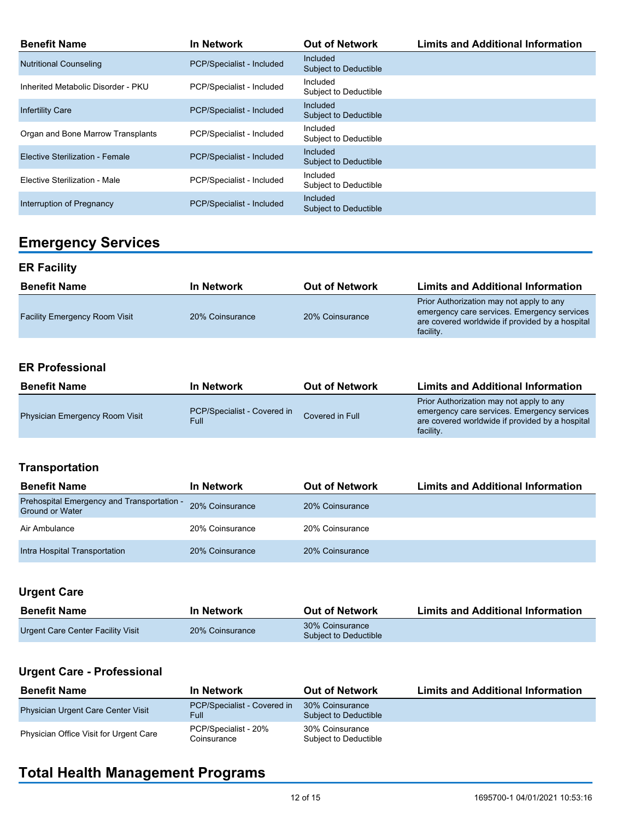| <b>Benefit Name</b>                | In Network                | <b>Out of Network</b>                           | <b>Limits and Additional Information</b> |
|------------------------------------|---------------------------|-------------------------------------------------|------------------------------------------|
| <b>Nutritional Counseling</b>      | PCP/Specialist - Included | <b>Included</b><br><b>Subject to Deductible</b> |                                          |
| Inherited Metabolic Disorder - PKU | PCP/Specialist - Included | Included<br>Subject to Deductible               |                                          |
| <b>Infertility Care</b>            | PCP/Specialist - Included | <b>Included</b><br>Subject to Deductible        |                                          |
| Organ and Bone Marrow Transplants  | PCP/Specialist - Included | Included<br>Subject to Deductible               |                                          |
| Elective Sterilization - Female    | PCP/Specialist - Included | Included<br><b>Subject to Deductible</b>        |                                          |
| Elective Sterilization - Male      | PCP/Specialist - Included | Included<br><b>Subject to Deductible</b>        |                                          |
| Interruption of Pregnancy          | PCP/Specialist - Included | <b>Included</b><br>Subject to Deductible        |                                          |

# **Emergency Services**

### **ER Facility**

| <b>Benefit Name</b>                  | In Network      | <b>Out of Network</b> | <b>Limits and Additional Information</b>                                                                                                                |
|--------------------------------------|-----------------|-----------------------|---------------------------------------------------------------------------------------------------------------------------------------------------------|
| <b>Facility Emergency Room Visit</b> | 20% Coinsurance | 20% Coinsurance       | Prior Authorization may not apply to any<br>emergency care services. Emergency services<br>are covered worldwide if provided by a hospital<br>facility. |

### **ER Professional**

| <b>Benefit Name</b>                   | In Network                           | <b>Out of Network</b> | <b>Limits and Additional Information</b>                                                                                                                |
|---------------------------------------|--------------------------------------|-----------------------|---------------------------------------------------------------------------------------------------------------------------------------------------------|
| <b>Physician Emergency Room Visit</b> | PCP/Specialist - Covered in<br>Full: | Covered in Full       | Prior Authorization may not apply to any<br>emergency care services. Emergency services<br>are covered worldwide if provided by a hospital<br>facility. |

### **Transportation**

| <b>Benefit Name</b>                                                  | <b>In Network</b> | <b>Out of Network</b> | <b>Limits and Additional Information</b> |
|----------------------------------------------------------------------|-------------------|-----------------------|------------------------------------------|
| Prehospital Emergency and Transportation -<br><b>Ground or Water</b> | 20% Coinsurance   | 20% Coinsurance       |                                          |
| Air Ambulance                                                        | 20% Coinsurance   | 20% Coinsurance       |                                          |
| Intra Hospital Transportation                                        | 20% Coinsurance   | 20% Coinsurance       |                                          |

### **Urgent Care**

| <b>Benefit Name</b>               | <b>In Network</b> | <b>Out of Network</b>                    | <b>Limits and Additional Information</b> |
|-----------------------------------|-------------------|------------------------------------------|------------------------------------------|
| Urgent Care Center Facility Visit | 20% Coinsurance   | 30% Coinsurance<br>Subject to Deductible |                                          |

## **Urgent Care - Professional**

| <b>Benefit Name</b>                       | <b>In Network</b>                          | <b>Out of Network</b>                    | <b>Limits and Additional Information</b> |
|-------------------------------------------|--------------------------------------------|------------------------------------------|------------------------------------------|
| <b>Physician Urgent Care Center Visit</b> | PCP/Specialist - Covered in<br><b>Full</b> | 30% Coinsurance<br>Subject to Deductible |                                          |
| Physician Office Visit for Urgent Care    | PCP/Specialist - 20%<br>Coinsurance        | 30% Coinsurance<br>Subject to Deductible |                                          |

# **Total Health Management Programs**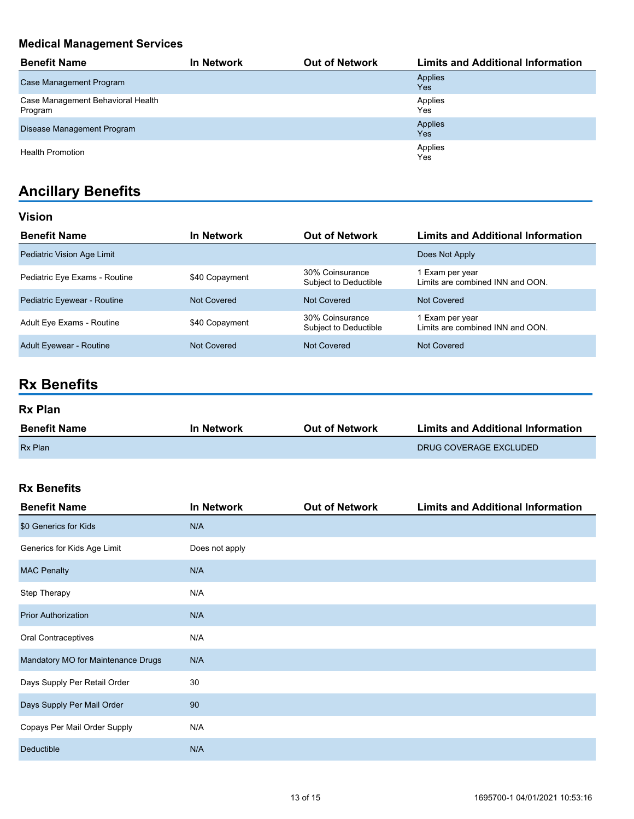## **Medical Management Services**

| <b>Benefit Name</b>                          | In Network | <b>Out of Network</b> | <b>Limits and Additional Information</b> |
|----------------------------------------------|------------|-----------------------|------------------------------------------|
| Case Management Program                      |            |                       | Applies<br>Yes                           |
| Case Management Behavioral Health<br>Program |            |                       | Applies<br>Yes                           |
| Disease Management Program                   |            |                       | Applies<br>Yes                           |
| <b>Health Promotion</b>                      |            |                       | Applies<br>Yes                           |

# **Ancillary Benefits**

| Vision                         |                |                                          |                                                     |
|--------------------------------|----------------|------------------------------------------|-----------------------------------------------------|
| <b>Benefit Name</b>            | In Network     | <b>Out of Network</b>                    | <b>Limits and Additional Information</b>            |
| Pediatric Vision Age Limit     |                |                                          | Does Not Apply                                      |
| Pediatric Eye Exams - Routine  | \$40 Copayment | 30% Coinsurance<br>Subject to Deductible | 1 Exam per year<br>Limits are combined INN and OON. |
| Pediatric Eyewear - Routine    | Not Covered    | Not Covered                              | Not Covered                                         |
| Adult Eye Exams - Routine      | \$40 Copayment | 30% Coinsurance<br>Subject to Deductible | 1 Exam per year<br>Limits are combined INN and OON. |
| <b>Adult Eyewear - Routine</b> | Not Covered    | Not Covered                              | Not Covered                                         |

# **Rx Benefits**

#### **Rx Plan**

| <b>Benefit Name</b> | <b>In Network</b> | <b>Out of Network</b> | <b>Limits and Additional Information</b> |
|---------------------|-------------------|-----------------------|------------------------------------------|
| <b>Rx Plan</b>      |                   |                       | DRUG COVERAGE EXCLUDED                   |

### **Rx Benefits**

| <b>Benefit Name</b>                | <b>In Network</b> | <b>Out of Network</b> | <b>Limits and Additional Information</b> |
|------------------------------------|-------------------|-----------------------|------------------------------------------|
| \$0 Generics for Kids              | N/A               |                       |                                          |
| Generics for Kids Age Limit        | Does not apply    |                       |                                          |
| <b>MAC Penalty</b>                 | N/A               |                       |                                          |
| Step Therapy                       | N/A               |                       |                                          |
| <b>Prior Authorization</b>         | N/A               |                       |                                          |
| Oral Contraceptives                | N/A               |                       |                                          |
| Mandatory MO for Maintenance Drugs | N/A               |                       |                                          |
| Days Supply Per Retail Order       | 30                |                       |                                          |
| Days Supply Per Mail Order         | 90                |                       |                                          |
| Copays Per Mail Order Supply       | N/A               |                       |                                          |
| Deductible                         | N/A               |                       |                                          |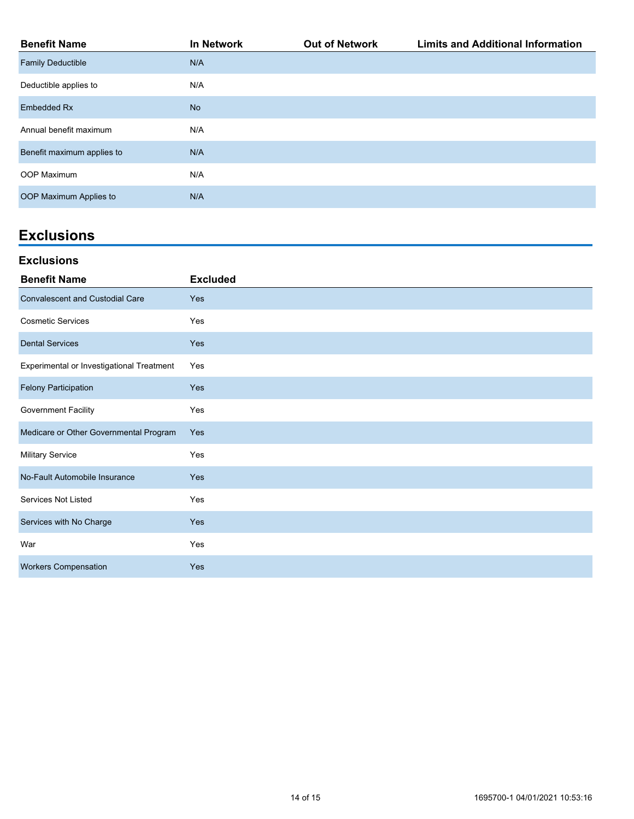| <b>Benefit Name</b>        | <b>In Network</b> | <b>Out of Network</b> | <b>Limits and Additional Information</b> |
|----------------------------|-------------------|-----------------------|------------------------------------------|
| <b>Family Deductible</b>   | N/A               |                       |                                          |
| Deductible applies to      | N/A               |                       |                                          |
| <b>Embedded Rx</b>         | <b>No</b>         |                       |                                          |
| Annual benefit maximum     | N/A               |                       |                                          |
| Benefit maximum applies to | N/A               |                       |                                          |
| OOP Maximum                | N/A               |                       |                                          |
| OOP Maximum Applies to     | N/A               |                       |                                          |

## **Exclusions**

#### **Exclusions**

| <b>Benefit Name</b>                       | <b>Excluded</b> |
|-------------------------------------------|-----------------|
| <b>Convalescent and Custodial Care</b>    | Yes             |
| <b>Cosmetic Services</b>                  | Yes             |
| <b>Dental Services</b>                    | <b>Yes</b>      |
| Experimental or Investigational Treatment | Yes             |
| <b>Felony Participation</b>               | <b>Yes</b>      |
| <b>Government Facility</b>                | Yes             |
| Medicare or Other Governmental Program    | <b>Yes</b>      |
| <b>Military Service</b>                   | Yes             |
| No-Fault Automobile Insurance             | Yes             |
| Services Not Listed                       | Yes             |
| Services with No Charge                   | Yes             |
| War                                       | Yes             |
| <b>Workers Compensation</b>               | <b>Yes</b>      |